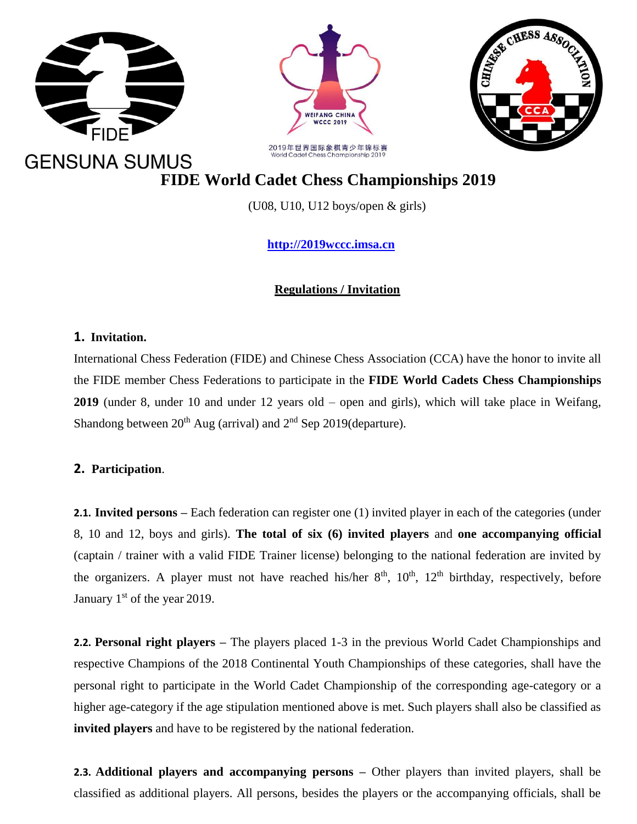





 **FIDE World Cadet Chess Championships 2019**

(U08, U10, U12 boys/open & girls)

 **[http://2019wccc.imsa.cn](http://2019wccc.imsa.cn/)**

# **Regulations / Invitation**

## **1. Invitation.**

International Chess Federation (FIDE) and Chinese Chess Association (CCA) have the honor to invite all the FIDE member Chess Federations to participate in the **FIDE World Cadets Chess Championships 2019** (under 8, under 10 and under 12 years old – open and girls), which will take place in Weifang, Shandong between  $20<sup>th</sup>$  Aug (arrival) and  $2<sup>nd</sup>$  Sep 2019(departure).

# **2. Participation**.

**2.1. Invited persons –** Each federation can register one (1) invited player in each of the categories (under 8, 10 and 12, boys and girls). **The total of six (6) invited players** and **one accompanying official**  (captain / trainer with a valid FIDE Trainer license) belonging to the national federation are invited by the organizers. A player must not have reached his/her  $8<sup>th</sup>$ ,  $10<sup>th</sup>$ ,  $12<sup>th</sup>$  birthday, respectively, before January  $1<sup>st</sup>$  of the year 2019.

**2.2. Personal right players –** The players placed 1-3 in the previous World Cadet Championships and respective Champions of the 2018 Continental Youth Championships of these categories, shall have the personal right to participate in the World Cadet Championship of the corresponding age-category or a higher age-category if the age stipulation mentioned above is met. Such players shall also be classified as **invited players** and have to be registered by the national federation.

**2.3. Additional players and accompanying persons –** Other players than invited players, shall be classified as additional players. All persons, besides the players or the accompanying officials, shall be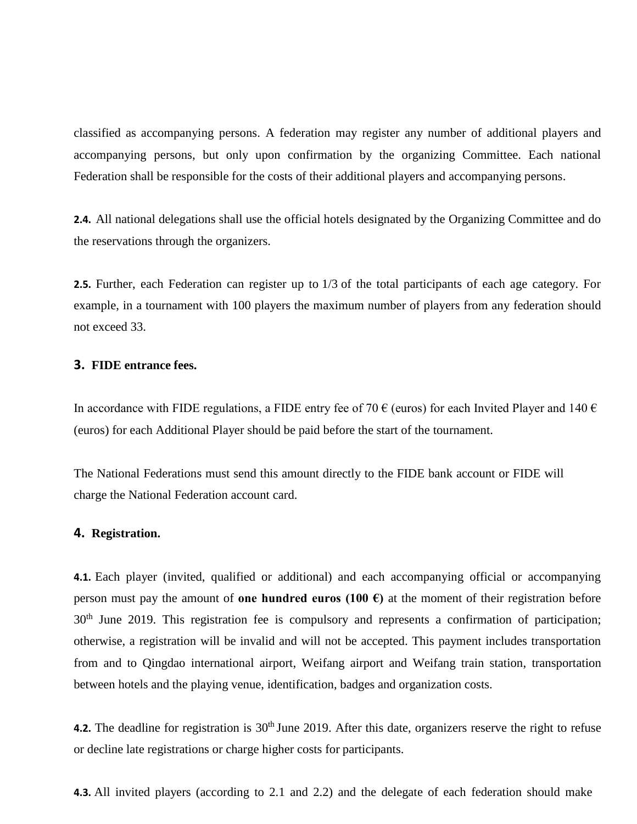classified as accompanying persons. A federation may register any number of additional players and accompanying persons, but only upon confirmation by the organizing Committee. Each national Federation shall be responsible for the costs of their additional players and accompanying persons.

**2.4.** All national delegations shall use the official hotels designated by the Organizing Committee and do the reservations through the organizers.

**2.5.** Further, each Federation can register up to 1/3 of the total participants of each age category. For example, in a tournament with 100 players the maximum number of players from any federation should not exceed 33.

#### **3. FIDE entrance fees.**

In accordance with FIDE regulations, a FIDE entry fee of 70  $\epsilon$  (euros) for each Invited Player and 140  $\epsilon$ (euros) for each Additional Player should be paid before the start of the tournament.

The National Federations must send this amount directly to the FIDE bank account or FIDE will charge the National Federation account card.

#### **4. Registration.**

**4.1.** Each player (invited, qualified or additional) and each accompanying official or accompanying person must pay the amount of **one hundred euros (100 €)** at the moment of their registration before 30<sup>th</sup> June 2019. This registration fee is compulsory and represents a confirmation of participation; otherwise, a registration will be invalid and will not be accepted. This payment includes transportation from and to Qingdao international airport, Weifang airport and Weifang train station, transportation between hotels and the playing venue, identification, badges and organization costs.

**4.2.** The deadline for registration is 30<sup>th</sup> June 2019. After this date, organizers reserve the right to refuse or decline late registrations or charge higher costs for participants.

**4.3.** All invited players (according to 2.1 and 2.2) and the delegate of each federation should make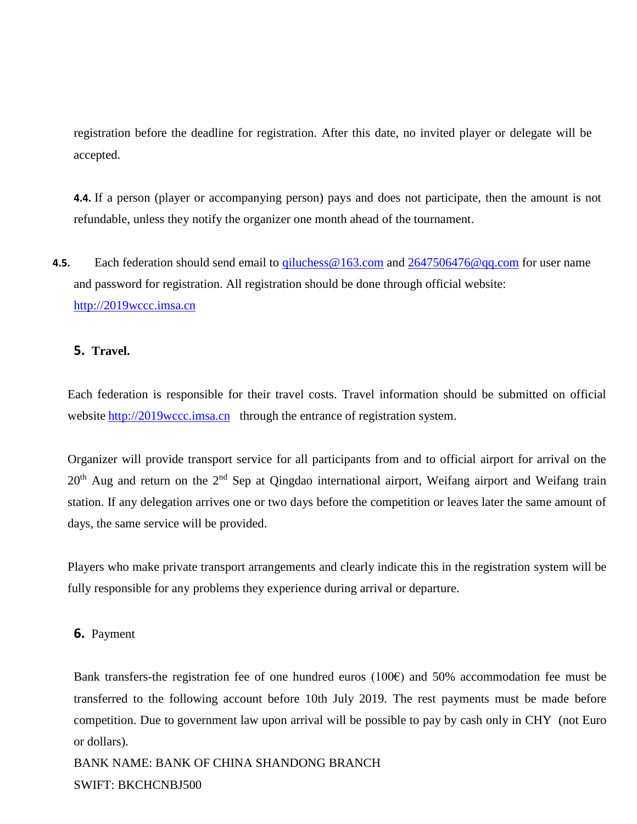registration before the deadline for registration. After this date, no invited player or delegate will be accepted.

**4.4.** If a person (player or accompanying person) pays and does not participate, then the amount is not refundable, unless they notify the organizer one month ahead of the tournament.

**4.5.** Each federation should send email to *giluchess* @ 163.com and 2647506476 @ qq.com for user name and password for registration. All registration should be done through official website: [http://2019wccc.imsa.cn](http://2019wccc.imsa.cn/)

## **5. Travel.**

Each federation is responsible for their travel costs. Travel information should be submitted on official website [http://2019wccc.imsa.cn](http://2019wccc.imsa.cn/) through the entrance of registration system.

Organizer will provide transport service for all participants from and to official airport for arrival on the 20<sup>th</sup> Aug and return on the 2<sup>nd</sup> Sep at Qingdao international airport, Weifang airport and Weifang train station. If any delegation arrives one or two days before the competition or leaves later the same amount of days, the same service will be provided.

Players who make private transport arrangements and clearly indicate this in the registration system will be fully responsible for any problems they experience during arrival or departure.

## **6.** Payment

Bank transfers-the registration fee of one hundred euros (100€) and 50% accommodation fee must be transferred to the following account before 10th July 2019. The rest payments must be made before competition. Due to government law upon arrival will be possible to pay by cash only in CHY (not Euro or dollars).

BANK NAME: BANK OF CHINA SHANDONG BRANCH SWIFT: BKCHCNBJ500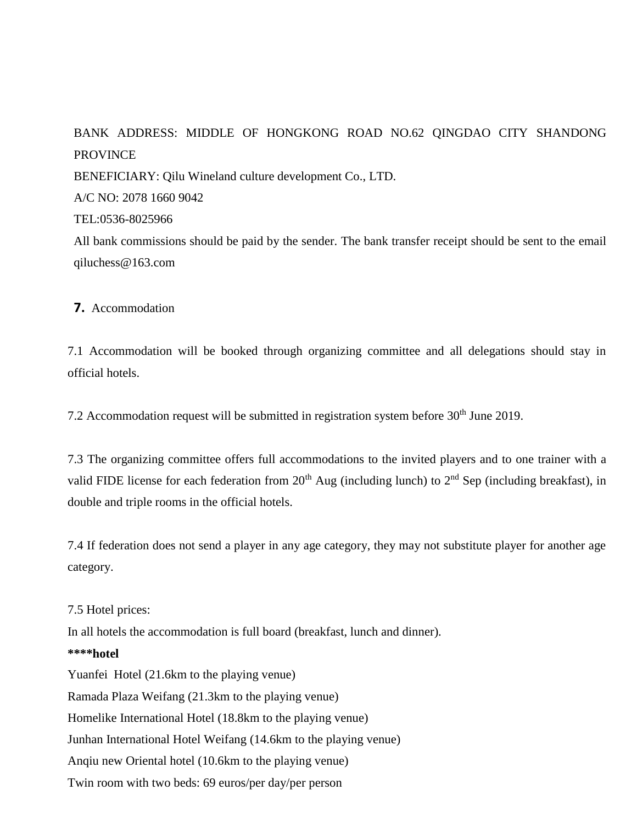# BANK ADDRESS: MIDDLE OF HONGKONG ROAD NO.62 QINGDAO CITY SHANDONG PROVINCE BENEFICIARY: Qilu Wineland culture development Co., LTD. A/C NO: 2078 1660 9042 [TEL:0536-8025966](tel:0536-8025966) All bank commissions should be paid by the sender. The bank transfer receipt should be sent to the email qiluchess@163.com

**7.** Accommodation

7.1 Accommodation will be booked through organizing committee and all delegations should stay in official hotels.

7.2 Accommodation request will be submitted in registration system before 30<sup>th</sup> June 2019.

7.3 The organizing committee offers full accommodations to the invited players and to one trainer with a valid FIDE license for each federation from  $20<sup>th</sup>$  Aug (including lunch) to  $2<sup>nd</sup>$  Sep (including breakfast), in double and triple rooms in the official hotels.

7.4 If federation does not send a player in any age category, they may not substitute player for another age category.

7.5 Hotel prices: In all hotels the accommodation is full board (breakfast, lunch and dinner). **\*\*\*\*hotel** Yuanfei Hotel (21.6km to the playing venue) Ramada Plaza Weifang (21.3km to the playing venue) Homelike International Hotel (18.8km to the playing venue) Junhan International Hotel Weifang (14.6km to the playing venue) Anqiu new Oriental hotel (10.6km to the playing venue) Twin room with two beds: 69 euros/per day/per person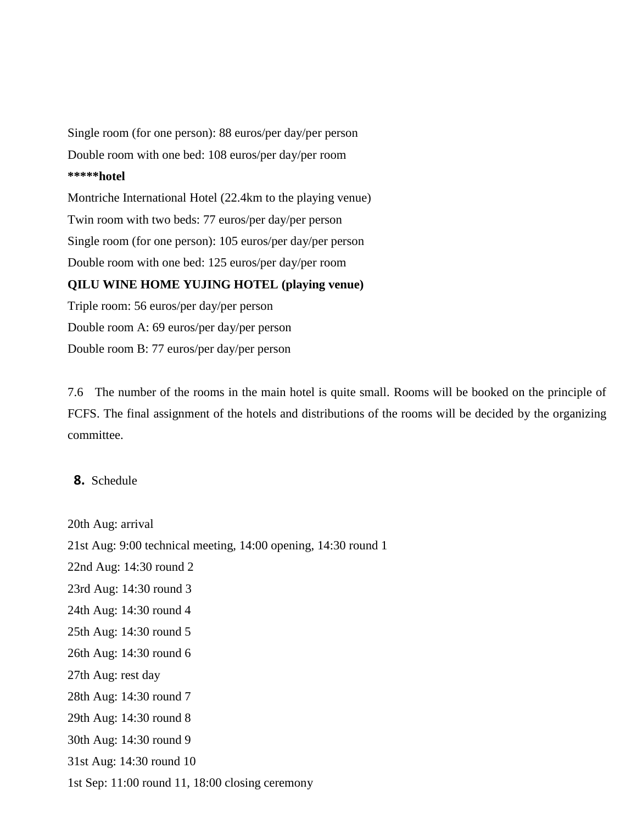Single room (for one person): 88 euros/per day/per person Double room with one bed: 108 euros/per day/per room **\*\*\*\*\*hotel** Montriche International Hotel (22.4km to the playing venue) Twin room with two beds: 77 euros/per day/per person Single room (for one person): 105 euros/per day/per person Double room with one bed: 125 euros/per day/per room **QILU WINE HOME YUJING HOTEL (playing venue)** Triple room: 56 euros/per day/per person

Double room A: 69 euros/per day/per person Double room B: 77 euros/per day/per person

7.6 The number of the rooms in the main hotel is quite small. Rooms will be booked on the principle of FCFS. The final assignment of the hotels and distributions of the rooms will be decided by the organizing committee.

## **8.** Schedule

20th Aug: arrival 21st Aug: 9:00 technical meeting, 14:00 opening, 14:30 round 1 22nd Aug: 14:30 round 2 23rd Aug: 14:30 round 3 24th Aug: 14:30 round 4 25th Aug: 14:30 round 5 26th Aug: 14:30 round 6 27th Aug: rest day 28th Aug: 14:30 round 7 29th Aug: 14:30 round 8 30th Aug: 14:30 round 9 31st Aug: 14:30 round 10 1st Sep: 11:00 round 11, 18:00 closing ceremony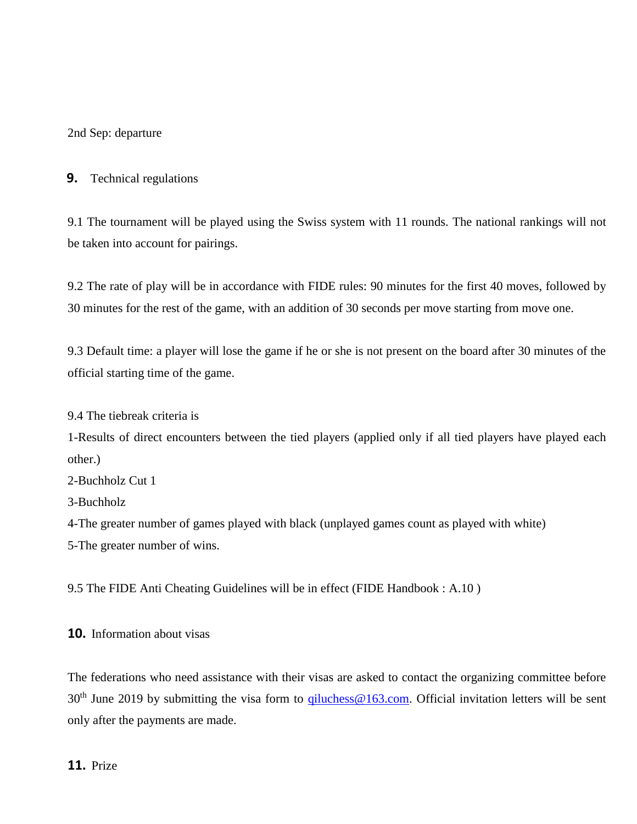2nd Sep: departure

## **9.** Technical regulations

9.1 The tournament will be played using the Swiss system with 11 rounds. The national rankings will not be taken into account for pairings.

9.2 The rate of play will be in accordance with FIDE rules: 90 minutes for the first 40 moves, followed by 30 minutes for the rest of the game, with an addition of 30 seconds per move starting from move one.

9.3 Default time: a player will lose the game if he or she is not present on the board after 30 minutes of the official starting time of the game.

9.4 The tiebreak criteria is

1-Results of direct encounters between the tied players (applied only if all tied players have played each other.)

2-Buchholz Cut 1

3-Buchholz

4-The greater number of games played with black (unplayed games count as played with white)

5-The greater number of wins.

9.5 The FIDE Anti Cheating Guidelines will be in effect (FIDE Handbook : A.10 )

**10.** Information about visas

The federations who need assistance with their visas are asked to contact the organizing committee before  $30<sup>th</sup>$  June 2019 by submitting the visa form to  $qiluchess@163.com$ . Official invitation letters will be sent only after the payments are made.